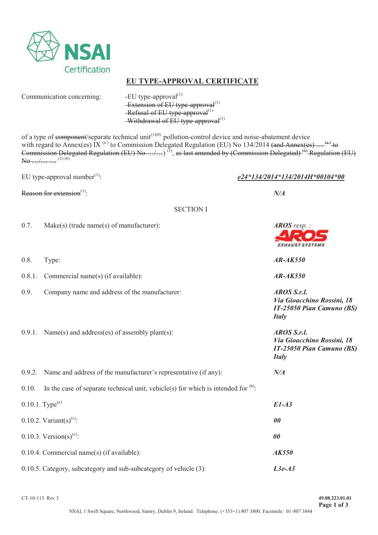

## **EU TYPE-APPROVAL CERTIFICATE**

Communication concerning:  $-EU$  type-approval $^{(1)}$ 

 $-$ Extension of EU type-approval $^{(1)}$ -Refusal of EU type-approval<sup>(1)</sup> -Withdrawal of  $E$ U type-approval<sup>(1)</sup>

of a type of component/separate technical unit<sup> $(1)(0)$ </sup> pollution-control device and noise-abatement device with regard to Annex(es) IX  $^{(a)}$  to Commission Delegated Regulation (EU) No 134/2014 (and Annex(es)  $\ldots$   $^{(a)}$  to Commission Delegated Regulation (EU) No .../...)<sup>(1)</sup>, as last amended by (Commission Delegated)<sup>(4)</sup> Regulation (EU)  $\overline{\text{No} \dots}$  (1) (6)

EU type-approval number<sup>(1)</sup>:  $e^{24*134/2014*134/2014H*00104*00}$ 

Reason for extension<sup>(1)</sup>:  $N/A$ 

**EXHAUST SYSTEMS** 

 *Via Gioacchino Rossini, 18 IT-25050 Pian Camuno (BS)* 

 *Via Gioacchino Rossini, 18 IT-25050 Pian Camuno (BS)* 

*Italy* 

*Italy* 

SECTION I

- 0.7. Make(s) (trade name(s) of manufacturer): *AROS resp. AROS resp.*
- 0.8. Type: *AR-AK550*
- 0.8.1. Commercial name(s) (if available): *AR-AK550*
- 0.9. Company name and address of the manufacturer: *AROS S.r.l.*
- 0.9.1. Name(s) and address(es) of assembly plant(s): *AROS S.r.l.*
- 
- 
- 
- 0.9.2. Name and address of the manufacturer's representative (if any): *N/A* 0.10. In the case of separate technical unit, vehicle(s) for which is intended for  $^{(b)}$ :

| $0.10.1$ . Type <sup>(c)</sup>                                          | $E1-A3$             |
|-------------------------------------------------------------------------|---------------------|
| 0.10.2. Variant(s) <sup>(c)</sup> :                                     | <i>00</i>           |
| 0.10.3. Version(s) <sup>(c)</sup> :                                     | 00                  |
| $0.10.4$ . Commercial name(s) (if available):                           | <i><b>AK550</b></i> |
| $0.10.5$ . Category, subcategory and sub-subcategory of vehicle $(3)$ : | $L3e-A3$            |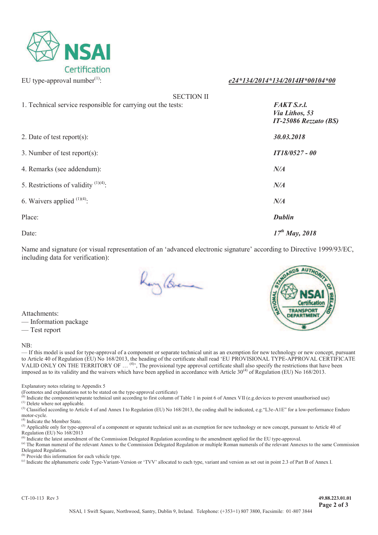

### EU type-approval number(1): *e24\*134/2014\*134/2014H\*00104\*00*

| <b>SECTION II</b>                                            |                                                               |
|--------------------------------------------------------------|---------------------------------------------------------------|
| 1. Technical service responsible for carrying out the tests: | <b>FAKT S.r.l.</b><br>Via Lithos, 53<br>IT-25086 Rezzato (BS) |
| 2. Date of test report(s):                                   | 30.03.2018                                                    |
| 3. Number of test report(s):                                 | <b>IT18/0527 - 00</b>                                         |
| 4. Remarks (see addendum):                                   | N/A                                                           |
| 5. Restrictions of validity $(1)(4)$ :                       | N/A                                                           |
| 6. Waivers applied $(1)(4)$ :                                | N/A                                                           |
| Place:                                                       | <b>Dublin</b>                                                 |
| Date:                                                        | $17^{th}$ May, 2018                                           |

Name and signature (or visual representation of an 'advanced electronic signature' according to Directive 1999/93/EC, including data for verification):

Ray Breme



Attachments: — Information package

— Test report

#### NB:

— If this model is used for type-approval of a component or separate technical unit as an exemption for new technology or new concept, pursuant to Article 40 of Regulation (EU) No 168/2013, the heading of the certificate shall read 'EU PROVISIONAL TYPE-APPROVAL CERTIFICATE VALID ONLY ON THE TERRITORY OF … (4)', The provisional type approval certificate shall also specify the restrictions that have been imposed as to its validity and the waivers which have been applied in accordance with Article  $30^{(4)}$  of Regulation (EU) No 168/2013.

Explanatory notes relating to Appendix 5

(Footnotes and explanations not to be stated on the type-approval certificate)

(b) Indicate the component/separate technical unit according to first column of Table 1 in point 6 of Annex VII (e.g. devices to prevent unauthorised use)

(1) Delete where not applicable.

<sup>(3)</sup> Classified according to Article 4 of and Annex I to Regulation (EU) No 168/2013, the coding shall be indicated, e.g. "L3e-A1E" for a low-performance Enduro motor-cycle.

(4) Indicate the Member State.

(5) Applicable only for type-approval of a component or separate technical unit as an exemption for new technology or new concept, pursuant to Article 40 of Regulation (EU) No 168/2013

Indicate the latest amendment of the Commission Delegated Regulation according to the amendment applied for the EU type-approval.

(a) The Roman numeral of the relevant Annex to the Commission Delegated Regulation or multiple Roman numerals of the relevant Annexes to the same Commission Delegated Regulation.

(b) Provide this information for each vehicle type.

(c) Indicate the alphanumeric code Type-Variant-Version or 'TVV' allocated to each type, variant and version as set out in point 2.3 of Part B of Annex I.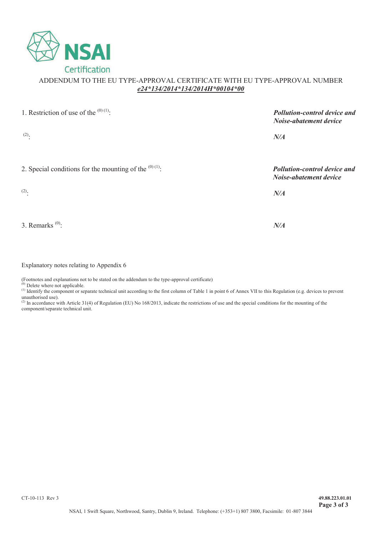

## ADDENDUM TO THE EU TYPE-APPROVAL CERTIFICATE WITH EU TYPE-APPROVAL NUMBER *e24\*134/2014\*134/2014H\*00104\*00*

| 1. Restriction of use of the $(0)(1)$ .                  | Pollution-control device and<br>Noise-abatement device        |  |  |  |  |
|----------------------------------------------------------|---------------------------------------------------------------|--|--|--|--|
| $(2)$ .                                                  | N/A                                                           |  |  |  |  |
| 2. Special conditions for the mounting of the $(0)(1)$ . | <b>Pollution-control device and</b><br>Noise-abatement device |  |  |  |  |
| $(2)$ .                                                  | N/A                                                           |  |  |  |  |
|                                                          |                                                               |  |  |  |  |
| 3. Remarks $^{(0)}$ :                                    | N/A                                                           |  |  |  |  |

Explanatory notes relating to Appendix 6

(Footnotes and explanations not to be stated on the addendum to the type-approval certificate)

 $<sup>(0)</sup>$  Delete where not applicable.</sup>  $(1)$  Identify the component or separate technical unit according to the first column of Table 1 in point 6 of Annex VII to this Regulation (e.g. devices to prevent

unauthorised use).<br><sup>(2)</sup> In accordance with Article 31(4) of Regulation (EU) No 168/2013, indicate the restrictions of use and the special conditions for the mounting of the component/separate technical unit.